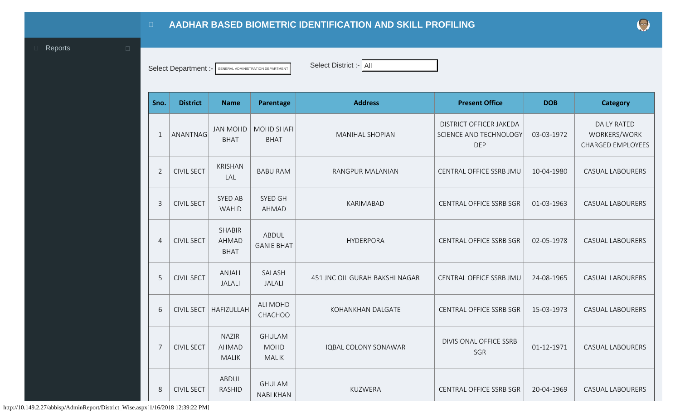## **AADHAR BASED BIOMETRIC IDENTIFICATION AND SKILL PROFILING**

<span id="page-0-0"></span>**D** [Reports](#page-0-0) **D** 

Select Department :- **GENERAL ADMINISTRATION DEPARTMENT** Select District :- All

| Sno.           | <b>District</b>   | <b>Name</b>                                  | Parentage                                    | <b>Address</b>                 | <b>Present Office</b>                                           | <b>DOB</b> | <b>Category</b>                                                |
|----------------|-------------------|----------------------------------------------|----------------------------------------------|--------------------------------|-----------------------------------------------------------------|------------|----------------------------------------------------------------|
| $\mathbf{1}$   | ANANTNAG          | <b>JAN MOHD</b><br><b>BHAT</b>               | <b>MOHD SHAFI</b><br><b>BHAT</b>             | <b>MANIHAL SHOPIAN</b>         | DISTRICT OFFICER JAKEDA<br>SCIENCE AND TECHNOLOGY<br><b>DEP</b> | 03-03-1972 | <b>DAILY RATED</b><br>WORKERS/WORK<br><b>CHARGED EMPLOYEES</b> |
| $\overline{2}$ | <b>CIVIL SECT</b> | <b>KRISHAN</b><br>LAL                        | <b>BABU RAM</b>                              | RANGPUR MALANIAN               | CENTRAL OFFICE SSRB JMU                                         | 10-04-1980 | <b>CASUAL LABOURERS</b>                                        |
| $\overline{3}$ | <b>CIVIL SECT</b> | <b>SYED AB</b><br><b>WAHID</b>               | SYED GH<br>AHMAD                             | <b>KARIMABAD</b>               | <b>CENTRAL OFFICE SSRB SGR</b>                                  | 01-03-1963 | <b>CASUAL LABOURERS</b>                                        |
| $\overline{4}$ | <b>CIVIL SECT</b> | <b>SHABIR</b><br><b>AHMAD</b><br><b>BHAT</b> | <b>ABDUL</b><br><b>GANIE BHAT</b>            | <b>HYDERPORA</b>               | <b>CENTRAL OFFICE SSRB SGR</b>                                  | 02-05-1978 | <b>CASUAL LABOURERS</b>                                        |
| 5              | <b>CIVIL SECT</b> | ANJALI<br><b>JALALI</b>                      | SALASH<br><b>JALALI</b>                      | 451 JNC OIL GURAH BAKSHI NAGAR | CENTRAL OFFICE SSRB JMU                                         | 24-08-1965 | <b>CASUAL LABOURERS</b>                                        |
| 6              | <b>CIVIL SECT</b> | <b>HAFIZULLAH</b>                            | <b>ALI MOHD</b><br>CHACHOO                   | KOHANKHAN DALGATE              | CENTRAL OFFICE SSRB SGR                                         | 15-03-1973 | <b>CASUAL LABOURERS</b>                                        |
| $\overline{7}$ | <b>CIVIL SECT</b> | <b>NAZIR</b><br><b>AHMAD</b><br><b>MALIK</b> | <b>GHULAM</b><br><b>MOHD</b><br><b>MALIK</b> | <b>IQBAL COLONY SONAWAR</b>    | <b>DIVISIONAL OFFICE SSRB</b><br>SGR                            | 01-12-1971 | <b>CASUAL LABOURERS</b>                                        |
| 8              | <b>CIVIL SECT</b> | ABDUL<br><b>RASHID</b>                       | <b>GHULAM</b><br><b>NABI KHAN</b>            | KUZWERA                        | <b>CENTRAL OFFICE SSRB SGR</b>                                  | 20-04-1969 | <b>CASUAL LABOURERS</b>                                        |

http://10.149.2.27/abbisp/AdminReport/District\_Wise.aspx[1/16/2018 12:39:22 PM]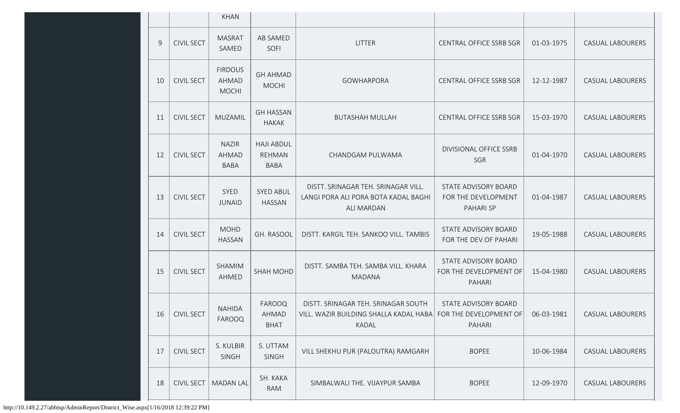|                |                   | <b>KHAN</b>                                 |                                            |                                                                                                                 |                                                          |            |                         |
|----------------|-------------------|---------------------------------------------|--------------------------------------------|-----------------------------------------------------------------------------------------------------------------|----------------------------------------------------------|------------|-------------------------|
| $\overline{9}$ | <b>CIVIL SECT</b> | <b>MASRAT</b><br>SAMED                      | AB SAMED<br>SOFI                           | <b>LITTER</b>                                                                                                   | <b>CENTRAL OFFICE SSRB SGR</b>                           | 01-03-1975 | <b>CASUAL LABOURERS</b> |
| 10             | <b>CIVIL SECT</b> | <b>FIRDOUS</b><br>AHMAD<br><b>MOCHI</b>     | <b>GH AHMAD</b><br><b>MOCHI</b>            | <b>GOWHARPORA</b>                                                                                               | CENTRAL OFFICE SSRB SGR                                  | 12-12-1987 | <b>CASUAL LABOURERS</b> |
| 11             | <b>CIVIL SECT</b> | MUZAMIL                                     | <b>GH HASSAN</b><br><b>HAKAK</b>           | <b>BUTASHAH MULLAH</b>                                                                                          | CENTRAL OFFICE SSRB SGR                                  | 15-03-1970 | <b>CASUAL LABOURERS</b> |
| 12             | <b>CIVIL SECT</b> | <b>NAZIR</b><br><b>AHMAD</b><br><b>BABA</b> | <b>HAJI ABDUL</b><br>REHMAN<br><b>BABA</b> | CHANDGAM PULWAMA                                                                                                | DIVISIONAL OFFICE SSRB<br>SGR                            | 01-04-1970 | <b>CASUAL LABOURERS</b> |
| 13             | <b>CIVIL SECT</b> | SYED<br><b>JUNAID</b>                       | <b>SYED ABUL</b><br><b>HASSAN</b>          | DISTT. SRINAGAR TEH. SRINAGAR VILL.<br>LANGI PORA ALI PORA BOTA KADAL BAGHI<br>ALI MARDAN                       | STATE ADVISORY BOARD<br>FOR THE DEVELOPMENT<br>PAHARI SP | 01-04-1987 | <b>CASUAL LABOURERS</b> |
| 14             | <b>CIVIL SECT</b> | <b>MOHD</b><br><b>HASSAN</b>                | GH. RASOOL                                 | DISTT. KARGIL TEH. SANKOO VILL. TAMBIS                                                                          | STATE ADVISORY BOARD<br>FOR THE DEV.OF PAHARI            | 19-05-1988 | <b>CASUAL LABOURERS</b> |
| 15             | <b>CIVIL SECT</b> | SHAMIM<br>AHMED                             | <b>SHAH MOHD</b>                           | DISTT. SAMBA TEH. SAMBA VILL. KHARA<br><b>MADANA</b>                                                            | STATE ADVISORY BOARD<br>FOR THE DEVELOPMENT OF<br>PAHARI | 15-04-1980 | <b>CASUAL LABOURERS</b> |
| 16             | <b>CIVIL SECT</b> | <b>NAHIDA</b><br>FAROOQ                     | FAROOQ<br>AHMAD<br><b>BHAT</b>             | DISTT. SRINAGAR TEH. SRINAGAR SOUTH<br>VILL. WAZIR BUILDING SHALLA KADAL HABA   FOR THE DEVELOPMENT OF<br>KADAL | STATE ADVISORY BOARD<br>PAHARI                           | 06-03-1981 | <b>CASUAL LABOURERS</b> |
| 17             | <b>CIVIL SECT</b> | S. KULBIR<br>SINGH                          | S. UTTAM<br>SINGH                          | VILL SHEKHU PUR (PALOUTRA) RAMGARH                                                                              | <b>BOPEE</b>                                             | 10-06-1984 | CASUAL LABOURERS        |
| 18             | <b>CIVIL SECT</b> | <b>MADAN LAL</b>                            | SH. KAKA<br>RAM                            | SIMBALWALI THE. VIJAYPUR SAMBA                                                                                  | <b>BOPEE</b>                                             | 12-09-1970 | <b>CASUAL LABOURERS</b> |

http://10.149.2.27/abbisp/AdminReport/District\_Wise.aspx[1/16/2018 12:39:22 PM]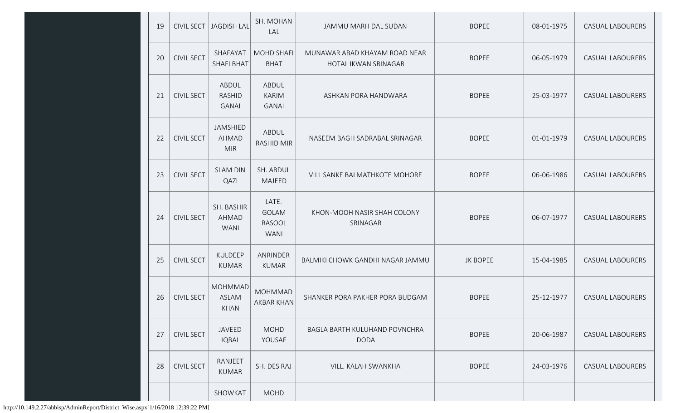| 19 | <b>CIVIL SECT</b> | JAGDISH LAL                                   | SH. MOHAN<br>LAL                                      | JAMMU MARH DAL SUDAN                                  | <b>BOPEE</b>    | 08-01-1975 | <b>CASUAL LABOURERS</b> |
|----|-------------------|-----------------------------------------------|-------------------------------------------------------|-------------------------------------------------------|-----------------|------------|-------------------------|
| 20 | <b>CIVIL SECT</b> | SHAFAYAT<br><b>SHAFI BHAT</b>                 | <b>MOHD SHAFI</b><br><b>BHAT</b>                      | MUNAWAR ABAD KHAYAM ROAD NEAR<br>HOTAL IKWAN SRINAGAR | <b>BOPEE</b>    | 06-05-1979 | <b>CASUAL LABOURERS</b> |
| 21 | <b>CIVIL SECT</b> | ABDUL<br><b>RASHID</b><br><b>GANAI</b>        | ABDUL<br><b>KARIM</b><br><b>GANAI</b>                 | ASHKAN PORA HANDWARA                                  | <b>BOPEE</b>    | 25-03-1977 | <b>CASUAL LABOURERS</b> |
| 22 | <b>CIVIL SECT</b> | JAMSHIED<br><b>AHMAD</b><br><b>MIR</b>        | ABDUL<br><b>RASHID MIR</b>                            | NASEEM BAGH SADRABAL SRINAGAR                         | <b>BOPEE</b>    | 01-01-1979 | <b>CASUAL LABOURERS</b> |
| 23 | <b>CIVIL SECT</b> | <b>SLAM DIN</b><br>QAZI                       | SH. ABDUL<br><b>MAJEED</b>                            | VILL SANKE BALMATHKOTE MOHORE                         | <b>BOPEE</b>    | 06-06-1986 | <b>CASUAL LABOURERS</b> |
| 24 | <b>CIVIL SECT</b> | SH. BASHIR<br>AHMAD<br><b>WANI</b>            | LATE.<br><b>GOLAM</b><br><b>RASOOL</b><br><b>WANI</b> | KHON-MOOH NASIR SHAH COLONY<br>SRINAGAR               | <b>BOPEE</b>    | 06-07-1977 | <b>CASUAL LABOURERS</b> |
| 25 | <b>CIVIL SECT</b> | KULDEEP<br><b>KUMAR</b>                       | ANRINDER<br><b>KUMAR</b>                              | BALMIKI CHOWK GANDHI NAGAR JAMMU                      | <b>JK BOPEE</b> | 15-04-1985 | <b>CASUAL LABOURERS</b> |
| 26 | <b>CIVIL SECT</b> | <b>MOHMMAD</b><br><b>ASLAM</b><br><b>KHAN</b> | <b>MOHMMAD</b><br>AKBAR KHAN                          | SHANKER PORA PAKHER PORA BUDGAM                       | <b>BOPEE</b>    | 25-12-1977 | <b>CASUAL LABOURERS</b> |
| 27 | <b>CIVIL SECT</b> | <b>JAVEED</b><br><b>IQBAL</b>                 | <b>MOHD</b><br>YOUSAF                                 | BAGLA BARTH KULUHAND POVNCHRA<br><b>DODA</b>          | <b>BOPEE</b>    | 20-06-1987 | <b>CASUAL LABOURERS</b> |
| 28 | <b>CIVIL SECT</b> | <b>RANJEET</b><br><b>KUMAR</b>                | SH. DES RAJ                                           | VILL. KALAH SWANKHA                                   | <b>BOPEE</b>    | 24-03-1976 | <b>CASUAL LABOURERS</b> |
|    |                   | SHOWKAT                                       | <b>MOHD</b>                                           |                                                       |                 |            |                         |

http://10.149.2.27/abbisp/AdminReport/District\_Wise.aspx[1/16/2018 12:39:22 PM]